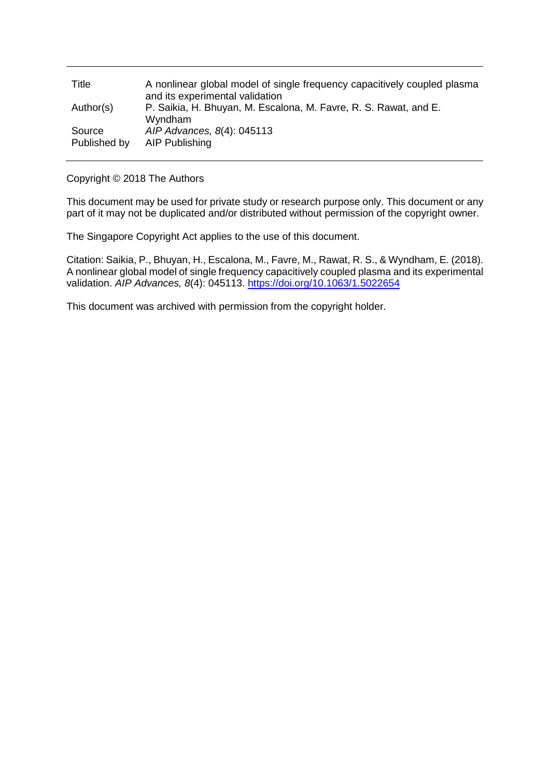| Title                  | A nonlinear global model of single frequency capacitively coupled plasma<br>and its experimental validation |
|------------------------|-------------------------------------------------------------------------------------------------------------|
| Author(s)              | P. Saikia, H. Bhuyan, M. Escalona, M. Favre, R. S. Rawat, and E.<br>Wyndham                                 |
| Source<br>Published by | AIP Advances, 8(4): 045113<br>AIP Publishing                                                                |

# Copyright © 2018 The Authors

This document may be used for private study or research purpose only. This document or any part of it may not be duplicated and/or distributed without permission of the copyright owner.

The Singapore Copyright Act applies to the use of this document.

Citation: Saikia, P., Bhuyan, H., Escalona, M., Favre, M., Rawat, R. S., & Wyndham, E. (2018). A nonlinear global model of single frequency capacitively coupled plasma and its experimental validation. *AIP Advances, 8*(4): 045113.<https://doi.org/10.1063/1.5022654>

This document was archived with permission from the copyright holder.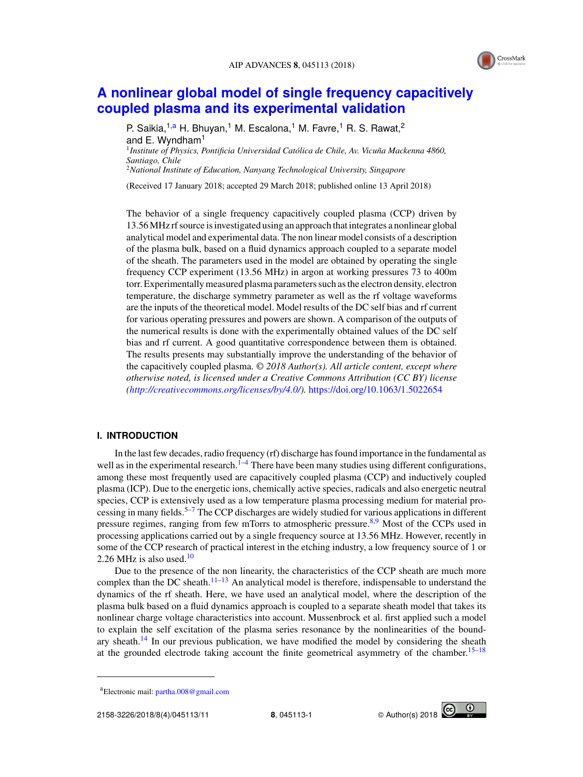

# **[A nonlinear global model of single frequency capacitively](https://doi.org/10.1063/1.5022654) [coupled plasma and its experimental validation](https://doi.org/10.1063/1.5022654)**

P. Saikia,<sup>1[,a](#page-1-0)</sup> H. Bhuyan,<sup>1</sup> M. Escalona,<sup>1</sup> M. Favre,<sup>1</sup> R. S. Rawat,<sup>2</sup> and E. Wyndham<sup>1</sup> <sup>1</sup> Institute of Physics, Pontificia Universidad Católica de Chile, Av. Vicuña Mackenna 4860, *Santiago, Chile* <sup>2</sup>*National Institute of Education, Nanyang Technological University, Singapore*

(Received 17 January 2018; accepted 29 March 2018; published online 13 April 2018)

The behavior of a single frequency capacitively coupled plasma (CCP) driven by 13.56MHz rf source is investigated using an approach that integrates a nonlinear global analytical model and experimental data. The non linear model consists of a description of the plasma bulk, based on a fluid dynamics approach coupled to a separate model of the sheath. The parameters used in the model are obtained by operating the single frequency CCP experiment (13.56 MHz) in argon at working pressures 73 to 400m torr. Experimentally measured plasma parameters such as the electron density, electron temperature, the discharge symmetry parameter as well as the rf voltage waveforms are the inputs of the theoretical model. Model results of the DC self bias and rf current for various operating pressures and powers are shown. A comparison of the outputs of the numerical results is done with the experimentally obtained values of the DC self bias and rf current. A good quantitative correspondence between them is obtained. The results presents may substantially improve the understanding of the behavior of the capacitively coupled plasma. © *2018 Author(s). All article content, except where otherwise noted, is licensed under a Creative Commons Attribution (CC BY) license [\(http://creativecommons.org/licenses/by/4.0/\)](http://creativecommons.org/licenses/by/4.0/).* <https://doi.org/10.1063/1.5022654>

## **I. INTRODUCTION**

In the last few decades, radio frequency (rf) discharge has found importance in the fundamental as well as in the experimental research.<sup>[1](#page-10-0)[–4](#page-10-1)</sup> There have been many studies using different configurations, among these most frequently used are capacitively coupled plasma (CCP) and inductively coupled plasma (ICP). Due to the energetic ions, chemically active species, radicals and also energetic neutral species, CCP is extensively used as a low temperature plasma processing medium for material pro-cessing in many fields.<sup>[5](#page-10-2)[–7](#page-10-3)</sup> The CCP discharges are widely studied for various applications in different pressure regimes, ranging from few mTorrs to atmospheric pressure.<sup>[8](#page-10-4)[,9](#page-10-5)</sup> Most of the CCPs used in processing applications carried out by a single frequency source at 13.56 MHz. However, recently in some of the CCP research of practical interest in the etching industry, a low frequency source of 1 or 2.26 MHz is also used. $10$ 

Due to the presence of the non linearity, the characteristics of the CCP sheath are much more complex than the DC sheath. $11-13$  $11-13$  An analytical model is therefore, indispensable to understand the dynamics of the rf sheath. Here, we have used an analytical model, where the description of the plasma bulk based on a fluid dynamics approach is coupled to a separate sheath model that takes its nonlinear charge voltage characteristics into account. Mussenbrock et al. first applied such a model to explain the self excitation of the plasma series resonance by the nonlinearities of the bound-ary sheath.<sup>[14](#page-10-9)</sup> In our previous publication, we have modified the model by considering the sheath at the grounded electrode taking account the finite geometrical asymmetry of the chamber.<sup>[15–](#page-10-10)[18](#page-10-11)</sup>



<span id="page-1-0"></span><sup>&</sup>lt;sup>a</sup>Electronic mail: [partha.008@gmail.com](mailto:partha.008@gmail.com)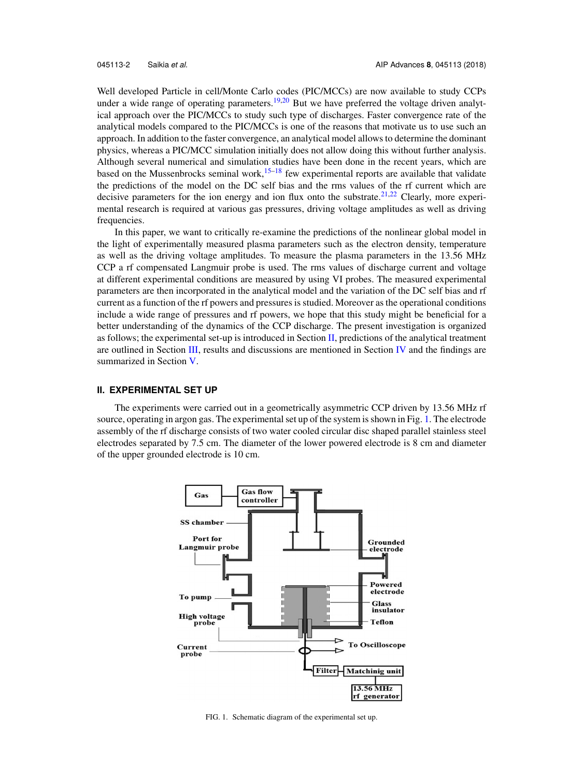Well developed Particle in cell/Monte Carlo codes (PIC/MCCs) are now available to study CCPs under a wide range of operating parameters.<sup>[19,](#page-10-12)[20](#page-10-13)</sup> But we have preferred the voltage driven analytical approach over the PIC/MCCs to study such type of discharges. Faster convergence rate of the analytical models compared to the PIC/MCCs is one of the reasons that motivate us to use such an approach. In addition to the faster convergence, an analytical model allows to determine the dominant physics, whereas a PIC/MCC simulation initially does not allow doing this without further analysis. Although several numerical and simulation studies have been done in the recent years, which are based on the Mussenbrocks seminal work,  $15-18$  $15-18$  few experimental reports are available that validate the predictions of the model on the DC self bias and the rms values of the rf current which are decisive parameters for the ion energy and ion flux onto the substrate. <sup>[21](#page-10-14)[,22](#page-11-0)</sup> Clearly, more experimental research is required at various gas pressures, driving voltage amplitudes as well as driving frequencies.

In this paper, we want to critically re-examine the predictions of the nonlinear global model in the light of experimentally measured plasma parameters such as the electron density, temperature as well as the driving voltage amplitudes. To measure the plasma parameters in the 13.56 MHz CCP a rf compensated Langmuir probe is used. The rms values of discharge current and voltage at different experimental conditions are measured by using VI probes. The measured experimental parameters are then incorporated in the analytical model and the variation of the DC self bias and rf current as a function of the rf powers and pressures is studied. Moreover as the operational conditions include a wide range of pressures and rf powers, we hope that this study might be beneficial for a better understanding of the dynamics of the CCP discharge. The present investigation is organized as follows; the experimental set-up is introduced in Section [II,](#page-2-0) predictions of the analytical treatment are outlined in Section [III,](#page-3-0) results and discussions are mentioned in Section [IV](#page-5-0) and the findings are summarized in Section [V.](#page-10-15)

### <span id="page-2-0"></span>**II. EXPERIMENTAL SET UP**

The experiments were carried out in a geometrically asymmetric CCP driven by 13.56 MHz rf source, operating in argon gas. The experimental set up of the system is shown in Fig. [1.](#page-2-1) The electrode assembly of the rf discharge consists of two water cooled circular disc shaped parallel stainless steel electrodes separated by 7.5 cm. The diameter of the lower powered electrode is 8 cm and diameter of the upper grounded electrode is 10 cm.

<span id="page-2-1"></span>

FIG. 1. Schematic diagram of the experimental set up.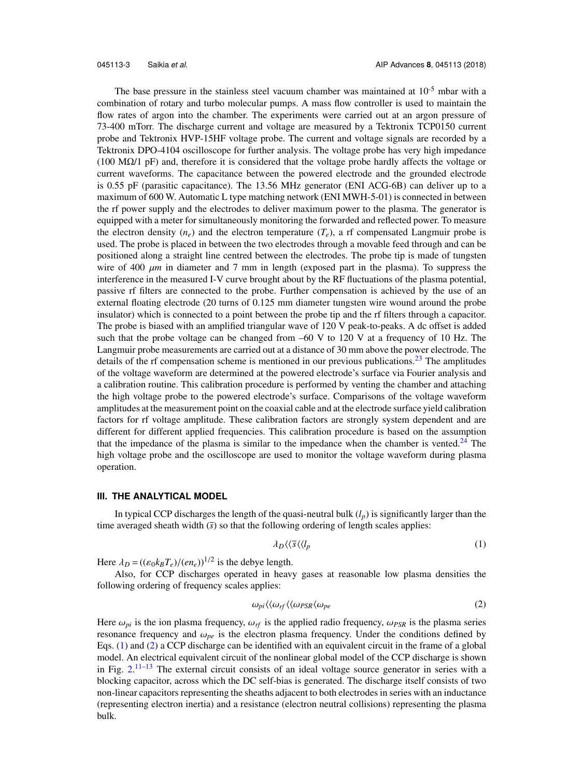The base pressure in the stainless steel vacuum chamber was maintained at  $10^{-5}$  mbar with a combination of rotary and turbo molecular pumps. A mass flow controller is used to maintain the flow rates of argon into the chamber. The experiments were carried out at an argon pressure of 73-400 mTorr. The discharge current and voltage are measured by a Tektronix TCP0150 current probe and Tektronix HVP-15HF voltage probe. The current and voltage signals are recorded by a Tektronix DPO-4104 oscilloscope for further analysis. The voltage probe has very high impedance (100 M $\Omega$ /1 pF) and, therefore it is considered that the voltage probe hardly affects the voltage or current waveforms. The capacitance between the powered electrode and the grounded electrode is 0.55 pF (parasitic capacitance). The 13.56 MHz generator (ENI ACG-6B) can deliver up to a maximum of 600 W. Automatic L type matching network (ENI MWH-5-01) is connected in between the rf power supply and the electrodes to deliver maximum power to the plasma. The generator is equipped with a meter for simultaneously monitoring the forwarded and reflected power. To measure the electron density  $(n_e)$  and the electron temperature  $(T_e)$ , a rf compensated Langmuir probe is used. The probe is placed in between the two electrodes through a movable feed through and can be positioned along a straight line centred between the electrodes. The probe tip is made of tungsten wire of 400  $\mu$ *m* in diameter and 7 mm in length (exposed part in the plasma). To suppress the interference in the measured I-V curve brought about by the RF fluctuations of the plasma potential, passive rf filters are connected to the probe. Further compensation is achieved by the use of an external floating electrode (20 turns of 0.125 mm diameter tungsten wire wound around the probe insulator) which is connected to a point between the probe tip and the rf filters through a capacitor. The probe is biased with an amplified triangular wave of 120 V peak-to-peaks. A dc offset is added such that the probe voltage can be changed from –60 V to 120 V at a frequency of 10 Hz. The Langmuir probe measurements are carried out at a distance of 30 mm above the power electrode. The details of the rf compensation scheme is mentioned in our previous publications.<sup>[23](#page-11-1)</sup> The amplitudes of the voltage waveform are determined at the powered electrode's surface via Fourier analysis and a calibration routine. This calibration procedure is performed by venting the chamber and attaching the high voltage probe to the powered electrode's surface. Comparisons of the voltage waveform amplitudes at the measurement point on the coaxial cable and at the electrode surface yield calibration factors for rf voltage amplitude. These calibration factors are strongly system dependent and are different for different applied frequencies. This calibration procedure is based on the assumption that the impedance of the plasma is similar to the impedance when the chamber is vented.<sup>[24](#page-11-2)</sup> The high voltage probe and the oscilloscope are used to monitor the voltage waveform during plasma operation.

#### <span id="page-3-0"></span>**III. THE ANALYTICAL MODEL**

In typical CCP discharges the length of the quasi-neutral bulk  $(l_p)$  is significantly larger than the time averaged sheath width (*s*) so that the following ordering of length scales applies:

<span id="page-3-2"></span><span id="page-3-1"></span>
$$
\lambda_D \langle \langle \bar{s} \langle \langle l_p \rangle \rangle \rangle \tag{1}
$$

Here  $\lambda_D = ((\varepsilon_0 k_B T_e)/(en_e))^{1/2}$  is the debye length.<br>Also, for CCP discharges operated in heavy

Also, for CCP discharges operated in heavy gases at reasonable low plasma densities the following ordering of frequency scales applies:

$$
\omega_{pi} \langle \langle \omega_{rfs} \langle \omega_{PSR} \langle \omega_{pe} \rangle \tag{2}
$$

Here  $\omega_{pi}$  is the ion plasma frequency,  $\omega_{rf}$  is the applied radio frequency,  $\omega_{PSR}$  is the plasma series resonance frequency and  $\omega_{pe}$  is the electron plasma frequency. Under the conditions defined by Eqs. [\(1\)](#page-3-1) and [\(2\)](#page-3-2) a CCP discharge can be identified with an equivalent circuit in the frame of a global model. An electrical equivalent circuit of the nonlinear global model of the CCP discharge is shown in Fig.  $2^{11-13}$  $2^{11-13}$  $2^{11-13}$  The external circuit consists of an ideal voltage source generator in series with a blocking capacitor, across which the DC self-bias is generated. The discharge itself consists of two non-linear capacitors representing the sheaths adjacent to both electrodes in series with an inductance (representing electron inertia) and a resistance (electron neutral collisions) representing the plasma bulk.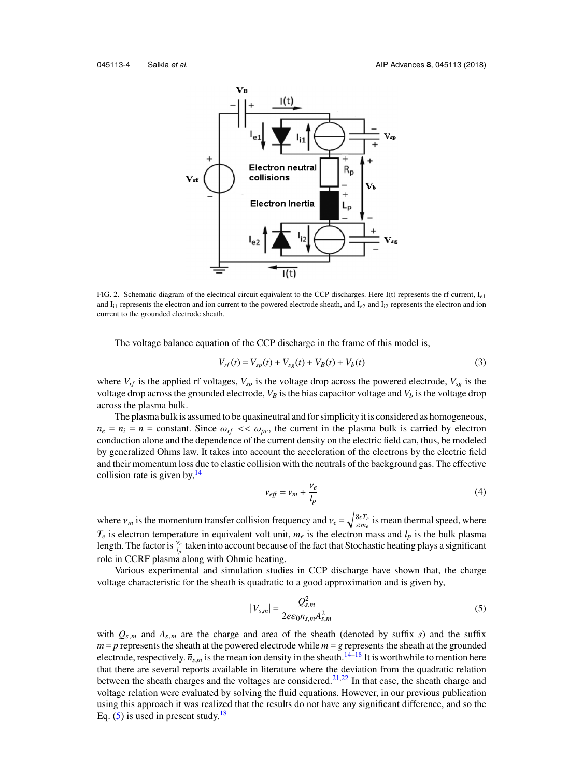<span id="page-4-0"></span>



FIG. 2. Schematic diagram of the electrical circuit equivalent to the CCP discharges. Here I(t) represents the rf current,  $I_{e1}$ and  $I_{i1}$  represents the electron and ion current to the powered electrode sheath, and  $I_{e2}$  and  $I_{i2}$  represents the electron and ion current to the grounded electrode sheath.

The voltage balance equation of the CCP discharge in the frame of this model is,

$$
V_{rf}(t) = V_{sp}(t) + V_{sg}(t) + V_B(t) + V_b(t)
$$
\n(3)

where  $V_{rf}$  is the applied rf voltages,  $V_{sp}$  is the voltage drop across the powered electrode,  $V_{sg}$  is the voltage drop across the grounded electrode,  $V_B$  is the bias capacitor voltage and  $V_b$  is the voltage drop across the plasma bulk.

The plasma bulk is assumed to be quasineutral and for simplicity it is considered as homogeneous,  $n_e = n_i = n$  = constant. Since  $\omega_{rf} \ll \omega_{pe}$ , the current in the plasma bulk is carried by electron conduction alone and the dependence of the current density on the electric field can, thus, be modeled by generalized Ohms law. It takes into account the acceleration of the electrons by the electric field and their momentum loss due to elastic collision with the neutrals of the background gas. The effective collision rate is given by,  $14$ 

$$
\nu_{\text{eff}} = \nu_m + \frac{\nu_e}{l_p} \tag{4}
$$

where  $v_m$  is the momentum transfer collision frequency and  $v_e = \sqrt{\frac{8eT_e}{\pi m_e}}$  is mean thermal speed, where  $T_e$  is algebra temperature in conjugate yelt up it and it is the algebra mass and *l*, is the bulls plasma  $T_e$  is electron temperature in equivalent volt unit,  $m_e$  is the electron mass and  $l_p$  is the bulk plasma length. The factor is  $\frac{v_e}{l_p}$  taken into account because of the fact that Stochastic heating plays a significant role in CCRF plasma along with Ohmic heating.

Various experimental and simulation studies in CCP discharge have shown that, the charge voltage characteristic for the sheath is quadratic to a good approximation and is given by,

<span id="page-4-1"></span>
$$
|V_{s,m}| = \frac{Q_{s,m}^2}{2e\varepsilon_0 \overline{n}_{s,m} A_{s,m}^2}
$$
 (5)

with  $Q_{s,m}$  and  $A_{s,m}$  are the charge and area of the sheath (denoted by suffix *s*) and the suffix  $m = p$  represents the sheath at the powered electrode while  $m = g$  represents the sheath at the grounded electrode, respectively.  $\overline{n}_{s,m}$  is the mean ion density in the sheath.<sup>[14](#page-10-9)[–18](#page-10-11)</sup> It is worthwhile to mention here that there are several reports available in literature where the deviation from the quadratic relation between the sheath charges and the voltages are considered.<sup>[21,](#page-10-14)[22](#page-11-0)</sup> In that case, the sheath charge and voltage relation were evaluated by solving the fluid equations. However, in our previous publication using this approach it was realized that the results do not have any significant difference, and so the Eq.  $(5)$  is used in present study.<sup>[18](#page-10-11)</sup>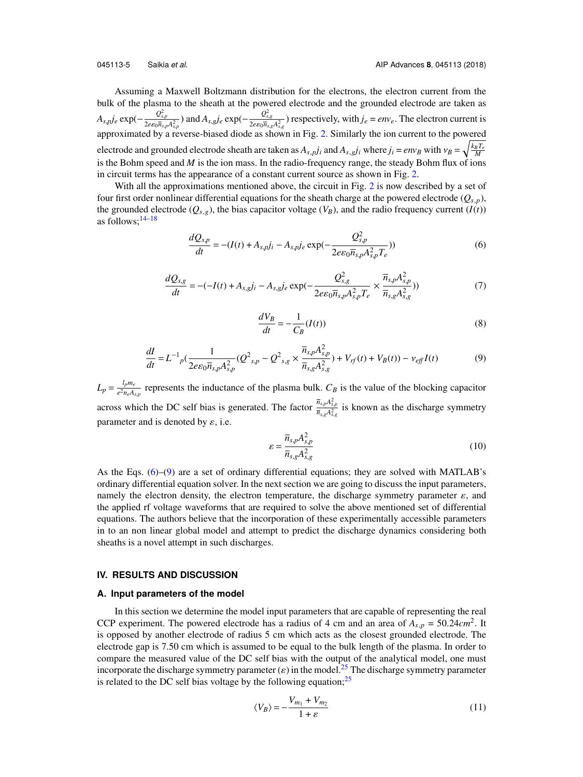Assuming a Maxwell Boltzmann distribution for the electrons, the electron current from the bulk of the plasma to the sheath at the powered electrode and the grounded electrode are taken as  $A_{s,p}j_e \exp(-\frac{Q_{s,p}^2}{2e\epsilon_0 \bar{n}_{s,p}A_{s,p}^2})$  and  $A_{s,g}j_e \exp(-\frac{Q_{s,g}^2}{2e\epsilon_0 \bar{n}_{s,g}A_{s,g}^2})$  respectively, with  $j_e = env_e$ . The electron current is approximated by a reverse-biased diode as shown in Fig. [2.](#page-4-0) Similarly the ion current to the powered electrode and grounded electrode sheath are taken as  $A_{s,p}j_i$  and  $A_{s,g}j_i$  where  $j_i = env_B$  with  $v_B = \sqrt{\frac{k_B T_e}{M}}$ is the Bohm speed and *M* is the ion mass. In the radio-frequency range, the steady Bohm flux of ions in circuit terms has the appearance of a constant current source as shown in Fig. [2.](#page-4-0)

With all the approximations mentioned above, the circuit in Fig. [2](#page-4-0) is now described by a set of four first order nonlinear differential equations for the sheath charge at the powered electrode  $(Q_{s,p})$ , the grounded electrode  $(Q_{s,g})$ , the bias capacitor voltage  $(V_B)$ , and the radio frequency current  $(I(t))$ as follows;[14](#page-10-9)[–18](#page-10-11)

<span id="page-5-1"></span>
$$
\frac{dQ_{s,p}}{dt} = -(I(t) + A_{s,p}j_i - A_{s,p}j_e \exp(-\frac{Q_{s,p}^2}{2e\epsilon_0 \overline{n}_{s,p} A_{s,p}^2 T_e}))
$$
(6)

$$
\frac{dQ_{s,g}}{dt} = -(-I(t) + A_{s,g}j_i - A_{s,g}j_e \exp(-\frac{Q_{s,g}^2}{2e\epsilon_0 \overline{n}_{s,p}A_{s,p}^2 T_e} \times \frac{\overline{n}_{s,p}A_{s,p}^2}{\overline{n}_{s,g}A_{s,g}^2}))
$$
(7)

$$
\frac{dV_B}{dt} = -\frac{1}{C_B}(I(t))\tag{8}
$$

$$
\frac{dI}{dt} = L^{-1} \rho \left( \frac{1}{2e\epsilon_0 \overline{n}_{s,p} A_{s,p}^2} (Q_{s,p}^2 - Q_{s,g}^2 \times \frac{\overline{n}_{s,p} A_{s,p}^2}{\overline{n}_{s,g} A_{s,g}^2}) + V_{rf}(t) + V_B(t) \right) - \nu_{eff} I(t)
$$
(9)

<span id="page-5-2"></span> $L_p = \frac{l_p m_e}{e^2 n_A}$  $\frac{\mu_p m_e}{e^2 n_e A_{s,p}}$  represents the inductance of the plasma bulk.  $C_B$  is the value of the blocking capacitor across which the DC self bias is generated. The factor  $\frac{\bar{n}_{s,p}A_{s,p}^2}{\bar{n}_{s,g}A_{s,g}^2}$  is known as the discharge symmetry parameter and is denoted by  $\varepsilon$ , i.e.

$$
\varepsilon = \frac{\overline{n}_{s,p} A_{s,p}^2}{\overline{n}_{s,g} A_{s,g}^2} \tag{10}
$$

As the Eqs. [\(6\)](#page-5-1)–[\(9\)](#page-5-2) are a set of ordinary differential equations; they are solved with MATLAB's ordinary differential equation solver. In the next section we are going to discuss the input parameters, namely the electron density, the electron temperature, the discharge symmetry parameter  $\varepsilon$ , and the applied rf voltage waveforms that are required to solve the above mentioned set of differential equations. The authors believe that the incorporation of these experimentally accessible parameters in to an non linear global model and attempt to predict the discharge dynamics considering both sheaths is a novel attempt in such discharges.

#### <span id="page-5-0"></span>**IV. RESULTS AND DISCUSSION**

#### **A. Input parameters of the model**

In this section we determine the model input parameters that are capable of representing the real CCP experiment. The powered electrode has a radius of 4 cm and an area of  $A_{s,p} = 50.24 \text{ cm}^2$ . It is opposed by another electrode of radius 5 cm which acts as the closest grounded electrode. The electrode gap is 7.50 cm which is assumed to be equal to the bulk length of the plasma. In order to compare the measured value of the DC self bias with the output of the analytical model, one must incorporate the discharge symmetry parameter  $(\varepsilon)$  in the model.<sup>[25](#page-11-3)</sup> The discharge symmetry parameter is related to the DC self bias voltage by the following equation;  $^{25}$  $^{25}$  $^{25}$ 

$$
\langle V_B \rangle = -\frac{V_{m_1} + V_{m_2}}{1 + \varepsilon} \tag{11}
$$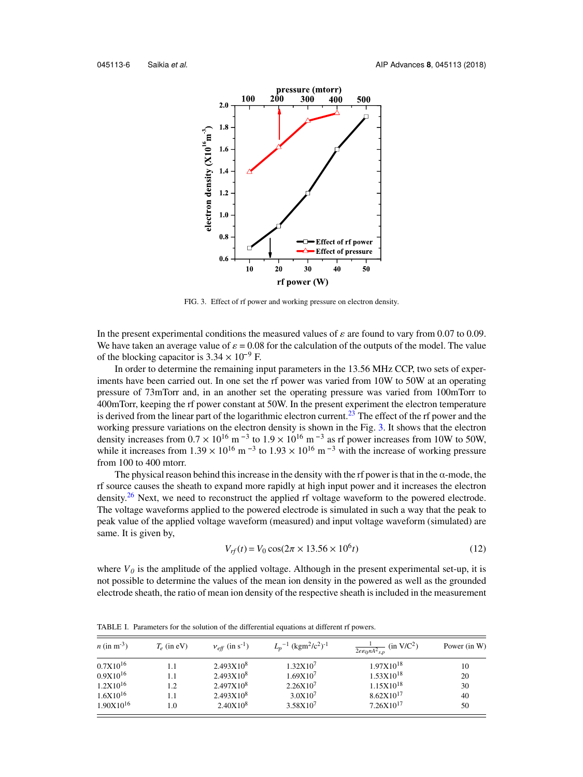<span id="page-6-0"></span>

FIG. 3. Effect of rf power and working pressure on electron density.

In the present experimental conditions the measured values of  $\varepsilon$  are found to vary from 0.07 to 0.09. In the present experimental conditions the measured values of  $\varepsilon$  are found to vary from 0.07 to 0.09.<br>We have taken an average value of  $\varepsilon = 0.08$  for the calculation of the outputs of the model. The value of the bloc

In order to determine the remaining input parameters in the 13.56 MHz CCP, two sets of experiments have been carried out. In one set the rf power was varied from 10W to 50W at an operating pressure of 73mTorr and, in an another set the operating pressure was varied from 100mTorr to 400mTorr, keeping the rf power constant at 50W. In the present experiment the electron temperature is derived from the linear part of the logarithmic electron current.<sup>[23](#page-11-1)</sup> The effect of the rf power and the working pressure variations on the electron density is shown in the Fig. [3.](#page-6-0) It shows that the electron is derived from the linear part of the logarithmic electron current.<sup>23</sup> The effect of the rf power and the working pressure variations on the electron density is shown in the Fig. 3. It shows that the electron density in working pressure variations on the electron density is shown in the Fig. 3. It shows that the electron density increases from  $0.7 \times 10^{16}$  m<sup>-3</sup> to  $1.9 \times 10^{16}$  m<sup>-3</sup> as rf power increases from 10W to 50W, while it in from 100 to 400 mtorr.

The physical reason behind this increase in the density with the rf power is that in the  $\alpha$ -mode, the rf source causes the sheath to expand more rapidly at high input power and it increases the electron density.<sup>[26](#page-11-4)</sup> Next, we need to reconstruct the applied rf voltage waveform to the powered electrode. The voltage waveforms applied to the powered electrode is simulated in such a way that the peak to peak value of the applied voltage waveform (measured) and input voltage waveform (simulated) are same. It is given by,

$$
V_{rf}(t) = V_0 \cos(2\pi \times 13.56 \times 10^6 t)
$$
 (12)

where  $V_0$  is the amplitude of the applied voltage. Although in the present experimental set-up, it is not possible to determine the values of the mean ion density in the powered as well as the grounded electrode sheath, the ratio of mean ion density of the respective sheath is included in the measurement

−1  $-1$   $-1$ 

<span id="page-6-1"></span>TABLE I. Parameters for the solution of the differential equations at different rf powers.

| $n$ (in m <sup>-3</sup> ) | $T_e$ (in eV) | $v_{\text{eff}}$ (in s <sup>-1</sup> ) | $L_p^{-1}$ (kgm <sup>2</sup> /c <sup>2</sup> ) <sup>-1</sup> | $\frac{1}{2e\epsilon_0 n A^2 s_p}$ (in V/C <sup>2</sup> ) | Power (in W) |
|---------------------------|---------------|----------------------------------------|--------------------------------------------------------------|-----------------------------------------------------------|--------------|
| $0.7X10^{16}$             |               | 2.493X10 <sup>8</sup>                  | 1.32X10 <sup>7</sup>                                         | $1.97X10^{18}$                                            | 10           |
| $0.9X10^{16}$             |               | 2.493X10 <sup>8</sup>                  | 1.69X10 <sup>7</sup>                                         | $1.53X10^{18}$                                            | 20           |
| $1.2X10^{16}$             | 1.2           | $2.497X10^{8}$                         | 2.26X10 <sup>7</sup>                                         | $1.15X10^{18}$                                            | 30           |
| $1.6X10^{16}$             | 1.1           | $2.493X10^{8}$                         | 3.0X10 <sup>7</sup>                                          | $8.62X10^{17}$                                            | 40           |
| $1.90X10^{16}$            | 1.0           | $2.40X10^{8}$                          | 3.58X10 <sup>7</sup>                                         | $7.26X10^{17}$                                            | 50           |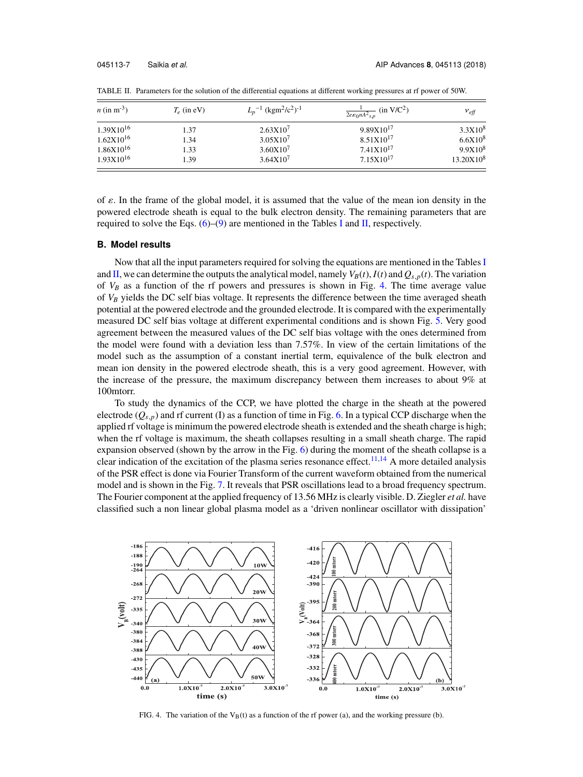| $n \text{ (in m}^{-3})$ | $T_e$ (in eV) | $L_p^{-1}$ (kgm <sup>2</sup> /c <sup>2</sup> ) <sup>-1</sup> | $\frac{1}{2e\epsilon_0 n A^2 s_p}$ (in V/C <sup>2</sup> ) | $v_{\text{eff}}$ |
|-------------------------|---------------|--------------------------------------------------------------|-----------------------------------------------------------|------------------|
| $1.39X10^{16}$          | 1.37          | 2.63X10 <sup>7</sup>                                         | $9.89X10^{17}$                                            | $3.3X10^{8}$     |
| $1.62X10^{16}$          | 1.34          | 3.05X10 <sup>7</sup>                                         | $8.51 \times 10^{17}$                                     | $6.6X10^{8}$     |
| $1.86X10^{16}$          | 1.33          | 3.60X10 <sup>7</sup>                                         | $7.41 \times 10^{17}$                                     | $9.9X10^{8}$     |
| $1.93X10^{16}$          | 1.39          | 3.64X10 <sup>7</sup>                                         | $7.15X10^{17}$                                            | $13.20X10^{8}$   |

<span id="page-7-0"></span>TABLE II. Parameters for the solution of the differential equations at different working pressures at rf power of 50W.

of  $\varepsilon$ . In the frame of the global model, it is assumed that the value of the mean ion density in the powered electrode sheath is equal to the bulk electron density. The remaining parameters that are required to solve the Eqs.  $(6)$ – $(9)$  are mentioned in the Tables [I](#page-6-1) and [II,](#page-7-0) respectively.

#### **B. Model results**

Now that all the input parameters required for solving the equations are mentioned in the Tables [I](#page-6-1) and [II,](#page-7-0) we can determine the outputs the analytical model, namely  $V_B(t)$ ,  $I(t)$  and  $Q_{s,p}(t)$ . The variation of  $V_B$  as a function of the rf powers and pressures is shown in Fig. [4.](#page-7-1) The time average value of *V<sub>B</sub>* yields the DC self bias voltage. It represents the difference between the time averaged sheath potential at the powered electrode and the grounded electrode. It is compared with the experimentally measured DC self bias voltage at different experimental conditions and is shown Fig. [5.](#page-8-0) Very good agreement between the measured values of the DC self bias voltage with the ones determined from the model were found with a deviation less than 7.57%. In view of the certain limitations of the model such as the assumption of a constant inertial term, equivalence of the bulk electron and mean ion density in the powered electrode sheath, this is a very good agreement. However, with the increase of the pressure, the maximum discrepancy between them increases to about 9% at 100mtorr.

To study the dynamics of the CCP, we have plotted the charge in the sheath at the powered electrode  $(Q_{s,p})$  and rf current (I) as a function of time in Fig. [6.](#page-8-1) In a typical CCP discharge when the applied rf voltage is minimum the powered electrode sheath is extended and the sheath charge is high; when the rf voltage is maximum, the sheath collapses resulting in a small sheath charge. The rapid expansion observed (shown by the arrow in the Fig. [6\)](#page-8-1) during the moment of the sheath collapse is a clear indication of the excitation of the plasma series resonance effect.  $11,14$  $11,14$  A more detailed analysis of the PSR effect is done via Fourier Transform of the current waveform obtained from the numerical model and is shown in the Fig. [7.](#page-9-0) It reveals that PSR oscillations lead to a broad frequency spectrum. The Fourier component at the applied frequency of 13.56 MHz is clearly visible. D. Ziegler *et al.* have classified such a non linear global plasma model as a 'driven nonlinear oscillator with dissipation'

<span id="page-7-1"></span>

FIG. 4. The variation of the  $V_B(t)$  as a function of the rf power (a), and the working pressure (b).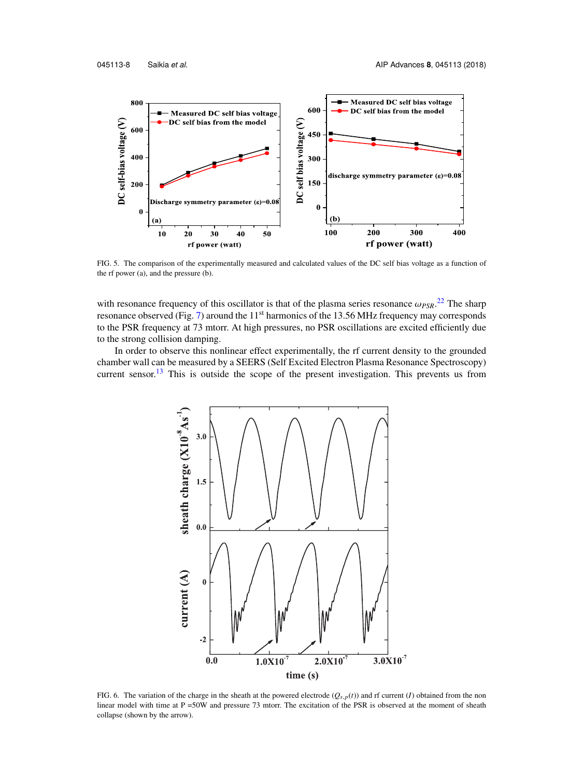<span id="page-8-0"></span>

FIG. 5. The comparison of the experimentally measured and calculated values of the DC self bias voltage as a function of the rf power (a), and the pressure (b).

with resonance frequency of this oscillator is that of the plasma series resonance  $\omega_{PSR}$ .<sup>[22](#page-11-0)</sup> The sharp<br>resonance observed (Fig. 7) around the 11<sup>st</sup> harmonics of the 13.56 MHz frequency may corresponds resonance observed (Fig. [7\)](#page-9-0) around the 11st harmonics of the 13.56 MHz frequency may corresponds to the PSR frequency at 73 mtorr. At high pressures, no PSR oscillations are excited efficiently due to the strong collision damping.

<span id="page-8-1"></span>In order to observe this nonlinear effect experimentally, the rf current density to the grounded chamber wall can be measured by a SEERS (Self Excited Electron Plasma Resonance Spectroscopy) current sensor.<sup>[13](#page-10-8)</sup> This is outside the scope of the present investigation. This prevents us from



FIG. 6. The variation of the charge in the sheath at the powered electrode  $(Q_{s,p}(t))$  and rf current (*I*) obtained from the non linear model with time at P =50W and pressure 73 mtorr. The excitation of the PSR is observed at the moment of sheath collapse (shown by the arrow).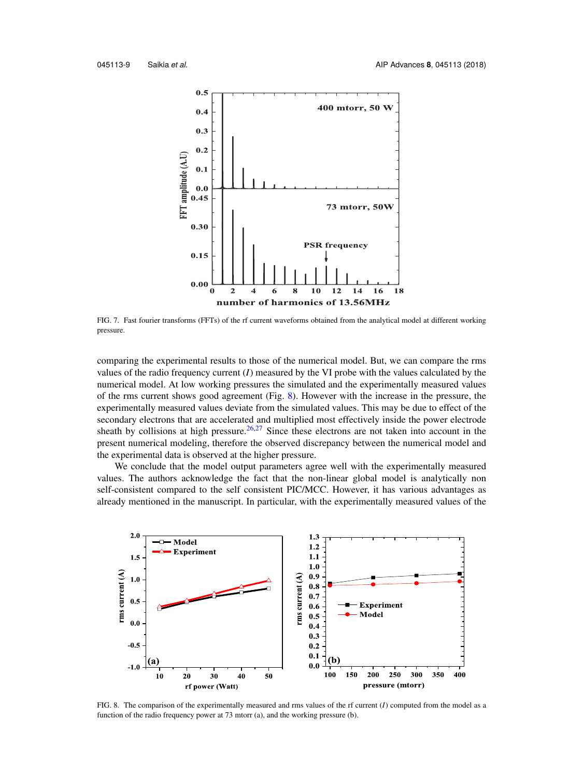<span id="page-9-0"></span>

FIG. 7. Fast fourier transforms (FFTs) of the rf current waveforms obtained from the analytical model at different working pressure.

comparing the experimental results to those of the numerical model. But, we can compare the rms values of the radio frequency current (*I*) measured by the VI probe with the values calculated by the numerical model. At low working pressures the simulated and the experimentally measured values of the rms current shows good agreement (Fig. [8\)](#page-9-1). However with the increase in the pressure, the experimentally measured values deviate from the simulated values. This may be due to effect of the secondary electrons that are accelerated and multiplied most effectively inside the power electrode sheath by collisions at high pressure.<sup>[26](#page-11-4)[,27](#page-11-5)</sup> Since these electrons are not taken into account in the present numerical modeling, therefore the observed discrepancy between the numerical model and the experimental data is observed at the higher pressure.

We conclude that the model output parameters agree well with the experimentally measured values. The authors acknowledge the fact that the non-linear global model is analytically non self-consistent compared to the self consistent PIC/MCC. However, it has various advantages as already mentioned in the manuscript. In particular, with the experimentally measured values of the

<span id="page-9-1"></span>

FIG. 8. The comparison of the experimentally measured and rms values of the rf current (*I*) computed from the model as a function of the radio frequency power at 73 mtorr (a), and the working pressure (b).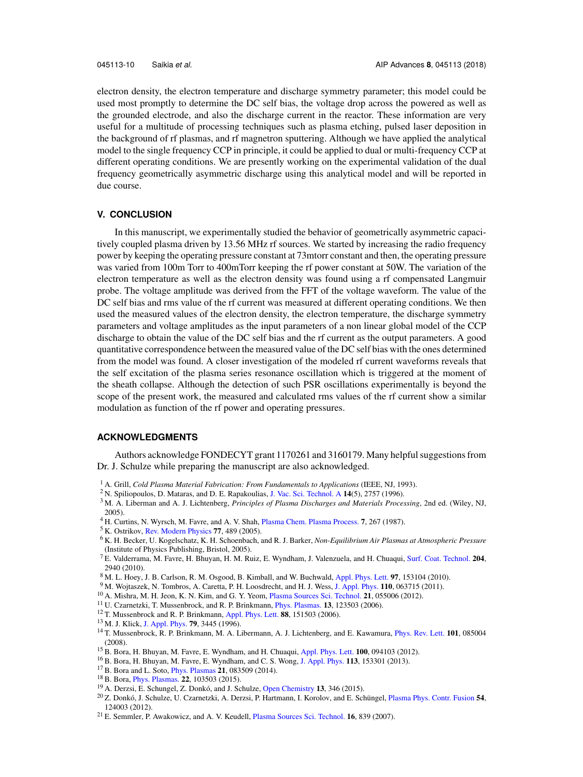electron density, the electron temperature and discharge symmetry parameter; this model could be used most promptly to determine the DC self bias, the voltage drop across the powered as well as the grounded electrode, and also the discharge current in the reactor. These information are very useful for a multitude of processing techniques such as plasma etching, pulsed laser deposition in the background of rf plasmas, and rf magnetron sputtering. Although we have applied the analytical model to the single frequency CCP in principle, it could be applied to dual or multi-frequency CCP at different operating conditions. We are presently working on the experimental validation of the dual frequency geometrically asymmetric discharge using this analytical model and will be reported in due course.

#### <span id="page-10-15"></span>**V. CONCLUSION**

In this manuscript, we experimentally studied the behavior of geometrically asymmetric capacitively coupled plasma driven by 13.56 MHz rf sources. We started by increasing the radio frequency power by keeping the operating pressure constant at 73mtorr constant and then, the operating pressure was varied from 100m Torr to 400mTorr keeping the rf power constant at 50W. The variation of the electron temperature as well as the electron density was found using a rf compensated Langmuir probe. The voltage amplitude was derived from the FFT of the voltage waveform. The value of the DC self bias and rms value of the rf current was measured at different operating conditions. We then used the measured values of the electron density, the electron temperature, the discharge symmetry parameters and voltage amplitudes as the input parameters of a non linear global model of the CCP discharge to obtain the value of the DC self bias and the rf current as the output parameters. A good quantitative correspondence between the measured value of the DC self bias with the ones determined from the model was found. A closer investigation of the modeled rf current waveforms reveals that the self excitation of the plasma series resonance oscillation which is triggered at the moment of the sheath collapse. Although the detection of such PSR oscillations experimentally is beyond the scope of the present work, the measured and calculated rms values of the rf current show a similar modulation as function of the rf power and operating pressures.

#### **ACKNOWLEDGMENTS**

Authors acknowledge FONDECYT grant 1170261 and 3160179. Many helpful suggestions from Dr. J. Schulze while preparing the manuscript are also acknowledged.

- <span id="page-10-0"></span><sup>1</sup> A. Grill, *Cold Plasma Material Fabrication: From Fundamentals to Applications* (IEEE, NJ, 1993).
- <sup>2</sup> N. Spiliopoulos, D. Mataras, and D. E. Rapakoulias, [J. Vac. Sci. Technol. A](https://doi.org/10.1116/1.580197) **14**(5), 2757 (1996).
- <sup>3</sup> M. A. Liberman and A. J. Lichtenberg, *Principles of Plasma Discharges and Materials Processing*, 2nd ed. (Wiley, NJ, 2005).
- <span id="page-10-1"></span><sup>4</sup> H. Curtins, N. Wyrsch, M. Favre, and A. V. Shah, [Plasma Chem. Plasma Process.](https://doi.org/10.1007/bf01016517) **7**, 267 (1987).
- <span id="page-10-2"></span><sup>5</sup> K. Ostrikov, [Rev. Modern Physics](https://doi.org/10.1103/revmodphys.77.489) **77**, 489 (2005).
- <sup>6</sup> K. H. Becker, U. Kogelschatz, K. H. Schoenbach, and R. J. Barker, *Non-Equilibrium Air Plasmas at Atmospheric Pressure* (Institute of Physics Publishing, Bristol, 2005).
- <span id="page-10-3"></span><sup>7</sup> E. Valderrama, M. Favre, H. Bhuyan, H. M. Ruiz, E. Wyndham, J. Valenzuela, and H. Chuaqui, [Surf. Coat. Technol.](https://doi.org/10.1016/j.surfcoat.2010.02.023) **204**, 2940 (2010).
- <span id="page-10-4"></span><sup>8</sup> M. L. Hoey, J. B. Carlson, R. M. Osgood, B. Kimball, and W. Buchwald, [Appl. Phys. Lett.](https://doi.org/10.1063/1.3499661) **97**, 153104 (2010).
- <span id="page-10-5"></span><sup>9</sup> M. Wojtaszek, N. Tombros, A. Caretta, P. H. Loosdrecht, and H. J. Wess, [J. Appl. Phys.](https://doi.org/10.1063/1.3638696) **110**, 063715 (2011).
- <span id="page-10-6"></span><sup>10</sup> A. Mishra, M. H. Jeon, K. N. Kim, and G. Y. Yeom, [Plasma Sources Sci. Technol.](https://doi.org/10.1088/0963-0252/21/5/055006) **21**, 055006 (2012).
- <span id="page-10-7"></span><sup>11</sup> U. Czarnetzki, T. Mussenbrock, and R. P. Brinkmann, [Phys. Plasmas.](https://doi.org/10.1063/1.2397043) **13**, 123503 (2006).
- <sup>12</sup> T. Mussenbrock and R. P. Brinkmann, [Appl. Phys. Lett.](https://doi.org/10.1063/1.2194824) **88**, 151503 (2006).
- <span id="page-10-8"></span><sup>13</sup> M. J. Klick, [J. Appl. Phys.](https://doi.org/10.1063/1.361392) **79**, 3445 (1996).
- <span id="page-10-9"></span><sup>14</sup> T. Mussenbrock, R. P. Brinkmann, M. A. Libermann, A. J. Lichtenberg, and E. Kawamura, [Phys. Rev. Lett.](https://doi.org/10.1103/physrevlett.101.085004) **101**, 085004 (2008).
- <span id="page-10-10"></span><sup>15</sup> B. Bora, H. Bhuyan, M. Favre, E. Wyndham, and H. Chuaqui, [Appl. Phys. Lett.](https://doi.org/10.1063/1.3690870) **100**, 094103 (2012).
- <sup>16</sup> B. Bora, H. Bhuyan, M. Favre, E. Wyndham, and C. S. Wong, [J. Appl. Phys.](https://doi.org/10.1063/1.4801874) **113**, 153301 (2013).
- <sup>17</sup> B. Bora and L. Soto, [Phys. Plasmas](https://doi.org/10.1063/1.4893148) **21**, 083509 (2014).
- <span id="page-10-11"></span><sup>18</sup> B. Bora, [Phys. Plasmas.](https://doi.org/10.1063/1.4932080) **22**, 103503 (2015).
- <span id="page-10-12"></span><sup>19</sup> A. Derzsi, E. Schungel, Z. Donkó, and J. Schulze, [Open Chemistry](https://doi.org/10.1515/chem-2015-0044) **13**, 346 (2015).
- <span id="page-10-13"></span><sup>20</sup> Z. Donkó, J. Schulze, U. Czarnetzki, A. Derzsi, P. Hartmann, I. Korolov, and E. Schüngel, [Plasma Phys. Contr. Fusion](https://doi.org/10.1088/0741-3335/54/12/124003) 54, 124003 (2012).
- <span id="page-10-14"></span><sup>21</sup> E. Semmler, P. Awakowicz, and A. V. Keudell, [Plasma Sources Sci. Technol.](https://doi.org/10.1088/0963-0252/16/4/020) **16**, 839 (2007).